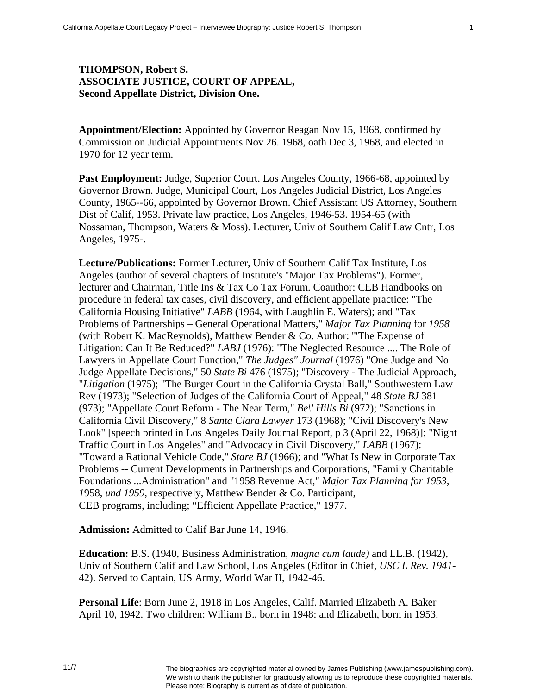## **THOMPSON, Robert S. ASSOCIATE JUSTICE, COURT OF APPEAL, Second Appellate District, Division One.**

**Appointment/Election:** Appointed by Governor Reagan Nov 15, 1968, confirmed by Commission on Judicial Appointments Nov 26. 1968, oath Dec 3, 1968, and elected in 1970 for 12 year term.

Past Employment: Judge, Superior Court. Los Angeles County, 1966-68, appointed by Governor Brown. Judge, Municipal Court, Los Angeles Judicial District, Los Angeles County, 1965--66, appointed by Governor Brown. Chief Assistant US Attorney, Southern Dist of Calif, 1953. Private law practice, Los Angeles, 1946-53. 1954-65 (with Nossaman, Thompson, Waters & Moss). Lecturer, Univ of Southern Calif Law Cntr, Los Angeles, 1975-.

**Lecture/Publications:** Former Lecturer, Univ of Southern Calif Tax Institute, Los Angeles (author of several chapters of Institute's "Major Tax Problems"). Former, lecturer and Chairman, Title Ins & Tax Co Tax Forum. Coauthor: CEB Handbooks on procedure in federal tax cases, civil discovery, and efficient appellate practice: "The California Housing Initiative" *LABB* (1964, with Laughlin E. Waters); and "Tax Problems of Partnerships – General Operational Matters," *Major Tax Planning* for *1958*  (with Robert K. MacReynolds), Matthew Bender & Co. Author: '"The Expense of Litigation: Can It Be Reduced?" *LABJ* (1976): "The Neglected Resource .... The Role of Lawyers in Appellate Court Function," *The Judges" Journal* (1976) "One Judge and No Judge Appellate Decisions," 50 *State Bi* 476 (1975); "Discovery - The Judicial Approach, "*Litigation* (1975); "The Burger Court in the California Crystal Ball," Southwestern Law Rev (1973); "Selection of Judges of the California Court of Appeal," 48 *State BJ* 381 (973); "Appellate Court Reform - The Near Term," *Be\' Hills Bi* (972); "Sanctions in California Civil Discovery," 8 *Santa Clara Lawyer* 173 (1968); "Civil Discovery's New Look" [speech printed in Los Angeles Daily Journal Report, p 3 (April 22, 1968)]; "Night Traffic Court in Los Angeles" and "Advocacy in Civil Discovery," *LABB* (1967): "Toward a Rational Vehicle Code," *Stare BJ* (1966); and "What Is New in Corporate Tax Problems -- Current Developments in Partnerships and Corporations, "Family Charitable Foundations ...Administration" and "1958 Revenue Act," *Major Tax Planning for 1953, 1*958, *und 1959,* respectively, Matthew Bender & Co. Participant, CEB programs, including; "Efficient Appellate Practice," 1977.

**Admission:** Admitted to Calif Bar June 14, 1946.

**Education:** B.S. (1940, Business Administration, *magna cum laude)* and LL.B. (1942), Univ of Southern Calif and Law School, Los Angeles (Editor in Chief, *USC L Rev. 1941-* 42). Served to Captain, US Army, World War II, 1942-46.

**Personal Life**: Born June 2, 1918 in Los Angeles, Calif. Married Elizabeth A. Baker April 10, 1942. Two children: William B., born in 1948: and Elizabeth, born in 1953.